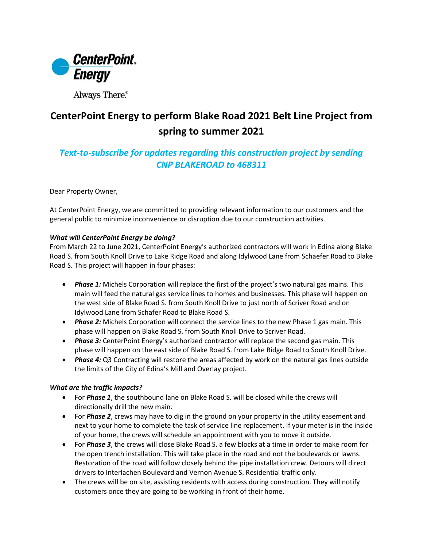

Always There.®

## **CenterPoint Energy to perform Blake Road 2021 Belt Line Project from spring to summer 2021**

## *Text-to-subscribe for updates regarding this construction project by sending CNP BLAKEROAD to 468311*

Dear Property Owner,

At CenterPoint Energy, we are committed to providing relevant information to our customers and the general public to minimize inconvenience or disruption due to our construction activities.

## *What will CenterPoint Energy be doing?*

From March 22 to June 2021, CenterPoint Energy's authorized contractors will work in Edina along Blake Road S. from South Knoll Drive to Lake Ridge Road and along Idylwood Lane from Schaefer Road to Blake Road S. This project will happen in four phases:

- *Phase 1:* Michels Corporation will replace the first of the project's two natural gas mains. This main will feed the natural gas service lines to homes and businesses. This phase will happen on the west side of Blake Road S. from South Knoll Drive to just north of Scriver Road and on Idylwood Lane from Schafer Road to Blake Road S.
- *Phase 2:* Michels Corporation will connect the service lines to the new Phase 1 gas main. This phase will happen on Blake Road S. from South Knoll Drive to Scriver Road.
- *Phase 3:* CenterPoint Energy's authorized contractor will replace the second gas main. This phase will happen on the east side of Blake Road S. from Lake Ridge Road to South Knoll Drive.
- *Phase 4:* Q3 Contracting will restore the areas affected by work on the natural gas lines outside the limits of the City of Edina's Mill and Overlay project.

## *What are the traffic impacts?*

- For *Phase 1*, the southbound lane on Blake Road S. will be closed while the crews will directionally drill the new main.
- For *Phase 2*, crews may have to dig in the ground on your property in the utility easement and next to your home to complete the task of service line replacement. If your meter is in the inside of your home, the crews will schedule an appointment with you to move it outside.
- For *Phase 3*, the crews will close Blake Road S. a few blocks at a time in order to make room for the open trench installation. This will take place in the road and not the boulevards or lawns. Restoration of the road will follow closely behind the pipe installation crew. Detours will direct drivers to Interlachen Boulevard and Vernon Avenue S. Residential traffic only.
- The crews will be on site, assisting residents with access during construction. They will notify customers once they are going to be working in front of their home.